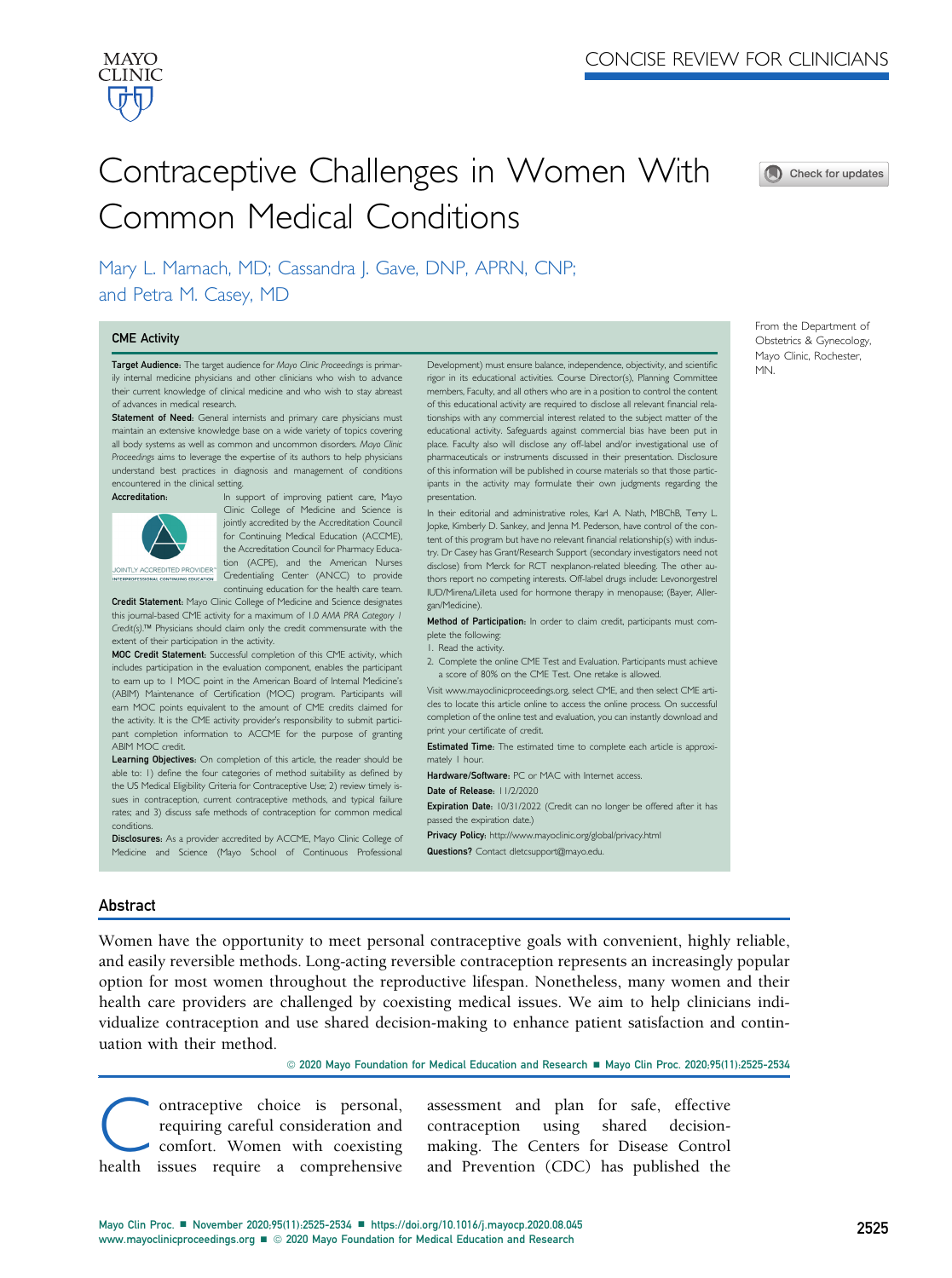

# Contraceptive Challenges in Women With Common Medical Conditions



Mary L. Marnach, MD; Cassandra J. Gave, DNP, APRN, CNP; and Petra M. Casey, MD

#### CME Activity

Target Audience: The target audience for Mayo Clinic Proceedings is primarily internal medicine physicians and other clinicians who wish to advance their current knowledge of clinical medicine and who wish to stay abreast of advances in medical research.

Statement of Need: General internists and primary care physicians must maintain an extensive knowledge base on a wide variety of topics covering all body systems as well as common and uncommon disorders. Mayo Clinic Proceedings aims to leverage the expertise of its authors to help physicians understand best practices in diagnosis and management of conditions encountered in the clinical setting.



Accreditation: In support of improving patient care, Mayo Clinic College of Medicine and Science is jointly accredited by the Accreditation Council for Continuing Medical Education (ACCME), the Accreditation Council for Pharmacy Educa-<br>tion (ACPE), and the American Nurses tion (ACPE), and the American Nurses Credentialing Center (ANCC) to provide continuing education for the health care team.

Credit Statement: Mayo Clinic College of Medicine and Science designates this journal-based CME activity for a maximum of 1.0 AMA PRA Category 1 Credit(s).<sup>™</sup> Physicians should claim only the credit commensurate with the extent of their participation in the activity.

MOC Credit Statement: Successful completion of this CME activity, which includes participation in the evaluation component, enables the participant to earn up to 1 MOC point in the American Board of Internal Medicine's (ABIM) Maintenance of Certification (MOC) program. Participants will earn MOC points equivalent to the amount of CME credits claimed for the activity. It is the CME activity provider's responsibility to submit participant completion information to ACCME for the purpose of granting ABIM MOC credit.

Learning Objectives: On completion of this article, the reader should be able to: 1) define the four categories of method suitability as defined by the US Medical Eligibility Criteria for Contraceptive Use; 2) review timely issues in contraception, current contraceptive methods, and typical failure rates; and 3) discuss safe methods of contraception for common medical conditions.

Disclosures: As a provider accredited by ACCME, Mayo Clinic College of Medicine and Science (Mayo School of Continuous Professional

Development) must ensure balance, independence, objectivity, and scientific rigor in its educational activities. Course Director(s), Planning Committee members, Faculty, and all others who are in a position to control the content of this educational activity are required to disclose all relevant financial relationships with any commercial interest related to the subject matter of the educational activity. Safeguards against commercial bias have been put in place. Faculty also will disclose any off-label and/or investigational use of pharmaceuticals or instruments discussed in their presentation. Disclosure of this information will be published in course materials so that those participants in the activity may formulate their own judgments regarding the presentation.

In their editorial and administrative roles, Karl A. Nath, MBChB, Terry L. Jopke, Kimberly D. Sankey, and Jenna M. Pederson, have control of the content of this program but have no relevant financial relationship(s) with industry. Dr Casey has Grant/Research Support (secondary investigators need not disclose) from Merck for RCT nexplanon-related bleeding. The other authors report no competing interests. Off-label drugs include: Levonorgestrel IUD/Mirena/Lilleta used for hormone therapy in menopause; (Bayer, Allergan/Medicine).

Method of Participation: In order to claim credit, participants must complete the following:

1. Read the activity.

2. Complete the online CME Test and Evaluation. Participants must achieve a score of 80% on the CME Test. One retake is allowed.

Visit [www.mayoclinicproceedings.org,](http://www.mayoclinicproceedings.org) select CME, and then select CME articles to locate this article online to access the online process. On successful completion of the online test and evaluation, you can instantly download and print your certificate of credit.

Estimated Time: The estimated time to complete each article is approximately 1 hour.

Hardware/Software: PC or MAC with Internet access.

Date of Release: 11/2/2020

Expiration Date: 10/31/2022 (Credit can no longer be offered after it has passed the expiration date.)

Privacy Policy: <http://www.mayoclinic.org/global/privacy.html> Questions? Contact [dletcsupport@mayo.edu.](http://dletcsupport@mayo.edu)

### Abstract

Women have the opportunity to meet personal contraceptive goals with convenient, highly reliable, and easily reversible methods. Long-acting reversible contraception represents an increasingly popular option for most women throughout the reproductive lifespan. Nonetheless, many women and their health care providers are challenged by coexisting medical issues. We aim to help clinicians individualize contraception and use shared decision-making to enhance patient satisfaction and continuation with their method.

© 2020 Mayo Foundation for Medical Education and Research ■ Mayo Clin Proc. 2020;95(11):2525-2534

ontraceptive choice is personal,<br>requiring careful consideration and<br>comfort. Women with coexisting<br>health issues require a comprehensive requiring careful consideration and comfort. Women with coexisting health issues require a comprehensive

assessment and plan for safe, effective contraception using shared decisionmaking. The Centers for Disease Control and Prevention (CDC) has published the From the Department of Obstetrics & Gynecology, Mayo Clinic, Rochester, MN.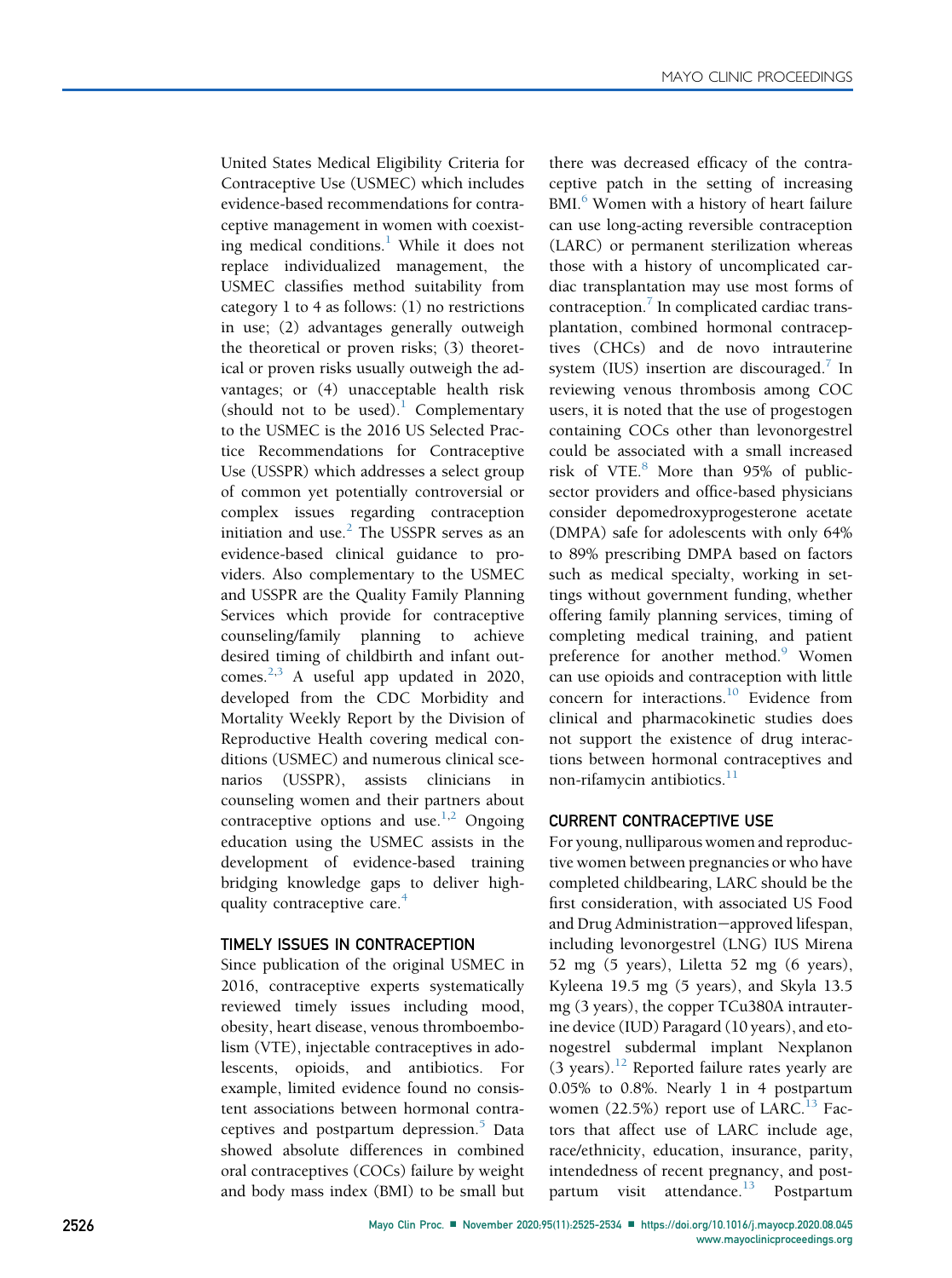United States Medical Eligibility Criteria for Contraceptive Use (USMEC) which includes evidence-based recommendations for contraceptive management in women with coexist-ing medical conditions.<sup>[1](#page-7-0)</sup> While it does not replace individualized management, the USMEC classifies method suitability from category 1 to 4 as follows: (1) no restrictions in use; (2) advantages generally outweigh the theoretical or proven risks; (3) theoretical or proven risks usually outweigh the advantages; or (4) unacceptable health risk (should not to be used).<sup>[1](#page-7-0)</sup> Complementary to the USMEC is the 2016 US Selected Practice Recommendations for Contraceptive Use (USSPR) which addresses a select group of common yet potentially controversial or complex issues regarding contraception initiation and use. $<sup>2</sup>$  $<sup>2</sup>$  $<sup>2</sup>$  The USSPR serves as an</sup> evidence-based clinical guidance to providers. Also complementary to the USMEC and USSPR are the Quality Family Planning Services which provide for contraceptive counseling/family planning to achieve desired timing of childbirth and infant outcomes. $2,3$  $2,3$  A useful app updated in 2020, developed from the CDC Morbidity and Mortality Weekly Report by the Division of Reproductive Health covering medical conditions (USMEC) and numerous clinical scenarios (USSPR), assists clinicians counseling women and their partners about contraceptive options and use.<sup>[1,](#page-7-0)[2](#page-8-0)</sup> Ongoing education using the USMEC assists in the development of evidence-based training bridging knowledge gaps to deliver high-quality contraceptive care.<sup>[4](#page-8-2)</sup>

## TIMELY ISSUES IN CONTRACEPTION

Since publication of the original USMEC in 2016, contraceptive experts systematically reviewed timely issues including mood, obesity, heart disease, venous thromboembolism (VTE), injectable contraceptives in adolescents, opioids, and antibiotics. For example, limited evidence found no consistent associations between hormonal contra-ceptives and postpartum depression.<sup>[5](#page-8-3)</sup> Data showed absolute differences in combined oral contraceptives (COCs) failure by weight and body mass index (BMI) to be small but there was decreased efficacy of the contraceptive patch in the setting of increasing BMI.<sup>[6](#page-8-4)</sup> Women with a history of heart failure can use long-acting reversible contraception (LARC) or permanent sterilization whereas those with a history of uncomplicated cardiac transplantation may use most forms of  $contraception.<sup>7</sup>$  $contraception.<sup>7</sup>$  $contraception.<sup>7</sup>$  In complicated cardiac transplantation, combined hormonal contraceptives (CHCs) and de novo intrauterine system (IUS) insertion are discouraged.<sup>[7](#page-8-5)</sup> In reviewing venous thrombosis among COC users, it is noted that the use of progestogen containing COCs other than levonorgestrel could be associated with a small increased risk of VTE. $8$  More than 95% of publicsector providers and office-based physicians consider depomedroxyprogesterone acetate (DMPA) safe for adolescents with only 64% to 89% prescribing DMPA based on factors such as medical specialty, working in settings without government funding, whether offering family planning services, timing of completing medical training, and patient preference for another method.<sup>[9](#page-8-7)</sup> Women can use opioids and contraception with little concern for interactions.<sup>[10](#page-8-8)</sup> Evidence from clinical and pharmacokinetic studies does not support the existence of drug interactions between hormonal contraceptives and non-rifamycin antibiotics.<sup>[11](#page-8-9)</sup>

## CURRENT CONTRACEPTIVE USE

For young, nulliparous women and reproductive women between pregnancies or who have completed childbearing, LARC should be the first consideration, with associated US Food and Drug Administration-approved lifespan, including levonorgestrel (LNG) IUS Mirena 52 mg (5 years), Liletta 52 mg (6 years), Kyleena 19.5 mg (5 years), and Skyla 13.5 mg (3 years), the copper TCu380A intrauterine device (IUD) Paragard (10 years), and etonogestrel subdermal implant Nexplanon  $(3 \text{ years})$ .<sup>[12](#page-8-10)</sup> Reported failure rates yearly are 0.05% to 0.8%. Nearly 1 in 4 postpartum women  $(22.5\%)$  report use of LARC.<sup>[13](#page-8-11)</sup> Factors that affect use of LARC include age, race/ethnicity, education, insurance, parity, intendedness of recent pregnancy, and post-partum visit attendance.<sup>[13](#page-8-11)</sup> Postpartum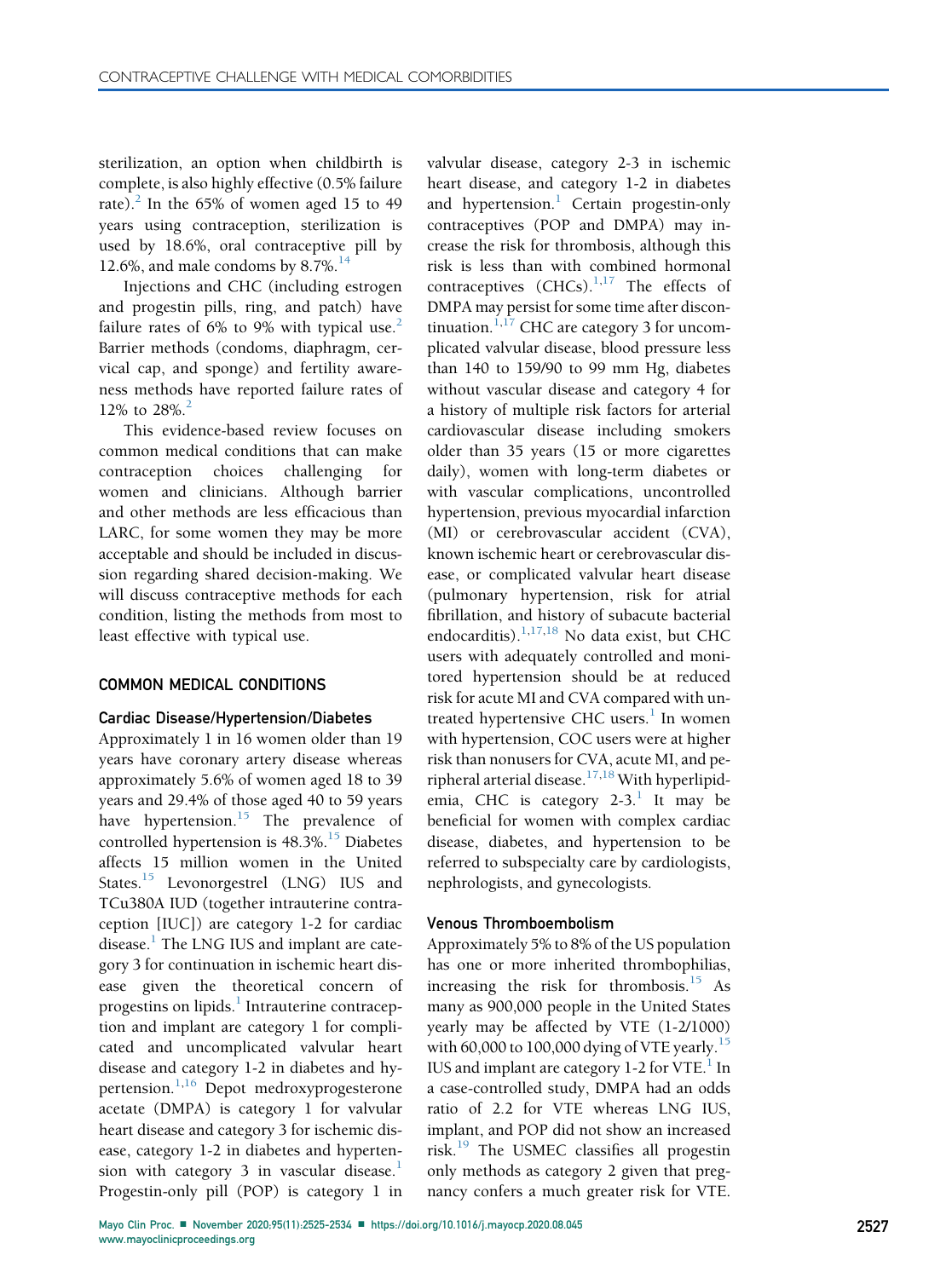sterilization, an option when childbirth is complete, is also highly effective (0.5% failure rate). $^{2}$  $^{2}$  $^{2}$  In the 65% of women aged 15 to 49 years using contraception, sterilization is used by 18.6%, oral contraceptive pill by 12.6%, and male condoms by 8.7%.<sup>[14](#page-8-12)</sup>

Injections and CHC (including estrogen and progestin pills, ring, and patch) have failure rates of 6% to 9% with typical use.<sup>[2](#page-8-0)</sup> Barrier methods (condoms, diaphragm, cervical cap, and sponge) and fertility awareness methods have reported failure rates of 1[2](#page-8-0)% to  $28\%$ <sup>2</sup>

This evidence-based review focuses on common medical conditions that can make contraception choices challenging for women and clinicians. Although barrier and other methods are less efficacious than LARC, for some women they may be more acceptable and should be included in discussion regarding shared decision-making. We will discuss contraceptive methods for each condition, listing the methods from most to least effective with typical use.

#### COMMON MEDICAL CONDITIONS

#### Cardiac Disease/Hypertension/Diabetes

Approximately 1 in 16 women older than 19 years have coronary artery disease whereas approximately 5.6% of women aged 18 to 39 years and 29.4% of those aged 40 to 59 years have hypertension.<sup>[15](#page-8-13)</sup> The prevalence of controlled hypertension is  $48.3\%$ .<sup>[15](#page-8-13)</sup> Diabetes affects 15 million women in the United States.<sup>[15](#page-8-13)</sup> Levonorgestrel (LNG) IUS and TCu380A IUD (together intrauterine contraception [IUC]) are category 1-2 for cardiac disease.<sup>[1](#page-7-0)</sup> The LNG IUS and implant are category 3 for continuation in ischemic heart disease given the theoretical concern of progestins on lipids.<sup>1</sup> Intrauterine contraception and implant are category 1 for complicated and uncomplicated valvular heart disease and category 1-2 in diabetes and hy-pertension.<sup>[1,](#page-7-0)[16](#page-8-14)</sup> Depot medroxyprogesterone acetate (DMPA) is category 1 for valvular heart disease and category 3 for ischemic disease, category 1-2 in diabetes and hypertension with category 3 in vascular disease. $<sup>1</sup>$  $<sup>1</sup>$  $<sup>1</sup>$ </sup> Progestin-only pill (POP) is category 1 in

valvular disease, category 2-3 in ischemic heart disease, and category 1-2 in diabetes and hypertension.<sup>[1](#page-7-0)</sup> Certain progestin-only contraceptives (POP and DMPA) may increase the risk for thrombosis, although this risk is less than with combined hormonal contraceptives  $(CHCS).$ <sup>[1,](#page-7-0)[17](#page-8-15)</sup> The effects of DMPA may persist for some time after discon-tinuation.<sup>[1](#page-7-0)[,17](#page-8-15)</sup> CHC are category 3 for uncomplicated valvular disease, blood pressure less than 140 to 159/90 to 99 mm Hg, diabetes without vascular disease and category 4 for a history of multiple risk factors for arterial cardiovascular disease including smokers older than 35 years (15 or more cigarettes daily), women with long-term diabetes or with vascular complications, uncontrolled hypertension, previous myocardial infarction (MI) or cerebrovascular accident (CVA), known ischemic heart or cerebrovascular disease, or complicated valvular heart disease (pulmonary hypertension, risk for atrial fibrillation, and history of subacute bacterial endocarditis). $1,17,18$  $1,17,18$  $1,17,18$  $1,17,18$  No data exist, but CHC users with adequately controlled and monitored hypertension should be at reduced risk for acute MI and CVA compared with untreated hypertensive CHC users. $<sup>1</sup>$  $<sup>1</sup>$  $<sup>1</sup>$  In women</sup> with hypertension, COC users were at higher risk than nonusers for CVA, acute MI, and pe-ripheral arterial disease.<sup>[17](#page-8-15)[,18](#page-8-16)</sup> With hyperlipidemia, CHC is category  $2-3$ .<sup>[1](#page-7-0)</sup> It may be beneficial for women with complex cardiac disease, diabetes, and hypertension to be referred to subspecialty care by cardiologists, nephrologists, and gynecologists.

#### Venous Thromboembolism

Approximately 5% to 8% of the US population has one or more inherited thrombophilias, increasing the risk for thrombosis.<sup>[15](#page-8-13)</sup> As many as 900,000 people in the United States yearly may be affected by VTE (1-2/1000) with 60,000 to 100,000 dying of VTE yearly.<sup>[15](#page-8-13)</sup> IUS and implant are category [1](#page-7-0)-2 for VTE. $<sup>1</sup>$  In</sup> a case-controlled study, DMPA had an odds ratio of 2.2 for VTE whereas LNG IUS, implant, and POP did not show an increased risk. $19$  The USMEC classifies all progestin only methods as category 2 given that pregnancy confers a much greater risk for VTE.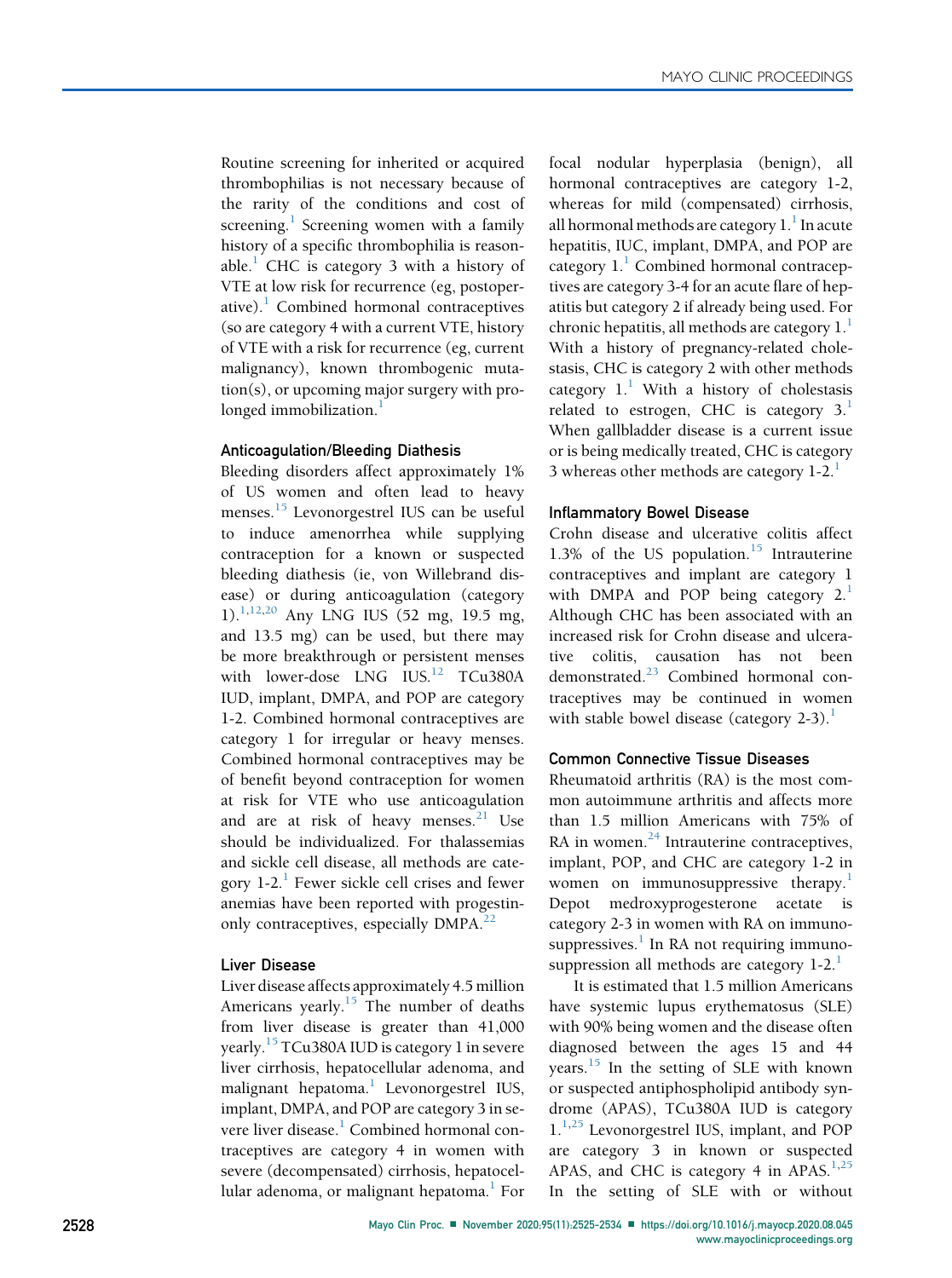Routine screening for inherited or acquired thrombophilias is not necessary because of the rarity of the conditions and cost of screening. $\frac{1}{1}$  $\frac{1}{1}$  $\frac{1}{1}$  Screening women with a family history of a specific thrombophilia is reason-able.<sup>[1](#page-7-0)</sup> CHC is category 3 with a history of VTE at low risk for recurrence (eg, postoperative). $\frac{1}{1}$  $\frac{1}{1}$  $\frac{1}{1}$  Combined hormonal contraceptives (so are category 4 with a current VTE, history of VTE with a risk for recurrence (eg, current malignancy), known thrombogenic mutation(s), or upcoming major surgery with pro-longed immobilization.<sup>[1](#page-7-0)</sup>

## Anticoagulation/Bleeding Diathesis

Bleeding disorders affect approximately 1% of US women and often lead to heavy menses.<sup>[15](#page-8-13)</sup> Levonorgestrel IUS can be useful to induce amenorrhea while supplying contraception for a known or suspected bleeding diathesis (ie, von Willebrand disease) or during anticoagulation (category 1)[.1,](#page-7-0)[12](#page-8-10)[,20](#page-8-18) Any LNG IUS (52 mg, 19.5 mg, and 13.5 mg) can be used, but there may be more breakthrough or persistent menses with lower-dose LNG IUS.<sup>[12](#page-8-10)</sup> TCu380A IUD, implant, DMPA, and POP are category 1-2. Combined hormonal contraceptives are category 1 for irregular or heavy menses. Combined hormonal contraceptives may be of benefit beyond contraception for women at risk for VTE who use anticoagulation and are at risk of heavy menses.<sup>[21](#page-8-19)</sup> Use should be individualized. For thalassemias and sickle cell disease, all methods are category  $1-2$  $1-2$ .<sup>1</sup> Fewer sickle cell crises and fewer anemias have been reported with progestin-only contraceptives, especially DMPA.<sup>[22](#page-8-20)</sup>

## Liver Disease

Liver disease affects approximately 4.5 million Americans yearly.<sup>[15](#page-8-13)</sup> The number of deaths from liver disease is greater than 41,000 yearly.[15](#page-8-13) TCu380A IUD is category 1 in severe liver cirrhosis, hepatocellular adenoma, and malignant hepatoma.<sup>1</sup> Levonorgestrel IUS, implant, DMPA, and POP are category 3 in severe liver disease.<sup>1</sup> Combined hormonal contraceptives are category 4 in women with severe (decompensated) cirrhosis, hepatocellular adenoma, or malignant hepatoma.<sup>1</sup> For focal nodular hyperplasia (benign), all hormonal contraceptives are category 1-2, whereas for mild (compensated) cirrhosis, all hormonal methods are category  $1<sup>1</sup>$  In acute hepatitis, IUC, implant, DMPA, and POP are category  $1<sup>1</sup>$  Combined hormonal contraceptives are category 3-4 for an acute flare of hepatitis but category 2 if already being used. For chronic hepatitis, all methods are category  $1<sup>1</sup>$ With a history of pregnancy-related cholestasis, CHC is category 2 with other methods category  $1<sup>1</sup>$  $1<sup>1</sup>$  With a history of cholestasis related to estrogen, CHC is category  $3<sup>1</sup>$ When gallbladder disease is a current issue or is being medically treated, CHC is category 3 whereas other methods are category  $1-2$  $1-2$ .<sup>1</sup>

## Inflammatory Bowel Disease

Crohn disease and ulcerative colitis affect 1.3% of the US population. $15$  Intrauterine contraceptives and implant are category 1 with DMPA and POP being category  $2<sup>1</sup>$  $2<sup>1</sup>$  $2<sup>1</sup>$ Although CHC has been associated with an increased risk for Crohn disease and ulcerative colitis, causation has not been demonstrated.<sup>[23](#page-8-21)</sup> Combined hormonal contraceptives may be continued in women with stable bowel disease (category  $2-3$ ).<sup>[1](#page-7-0)</sup>

## Common Connective Tissue Diseases

Rheumatoid arthritis (RA) is the most common autoimmune arthritis and affects more than 1.5 million Americans with 75% of RA in women.<sup>[24](#page-8-22)</sup> Intrauterine contraceptives, implant, POP, and CHC are category 1-2 in women on immunosuppressive therapy.<sup>[1](#page-7-0)</sup> Depot medroxyprogesterone acetate is category 2-3 in women with RA on immunosuppressives. $\frac{1}{1}$  $\frac{1}{1}$  $\frac{1}{1}$  In RA not requiring immunosuppression all methods are category  $1-2$  $1-2$ .<sup>1</sup>

It is estimated that 1.5 million Americans have systemic lupus erythematosus (SLE) with 90% being women and the disease often diagnosed between the ages 15 and 44 years. $15$  In the setting of SLE with known or suspected antiphospholipid antibody syndrome (APAS), TCu380A IUD is category 1.<sup>[1,](#page-7-0)[25](#page-8-23)</sup> Levonorgestrel IUS, implant, and POP are category 3 in known or suspected APAS, and CHC is category 4 in APAS.<sup>[1,](#page-7-0)[25](#page-8-23)</sup> In the setting of SLE with or without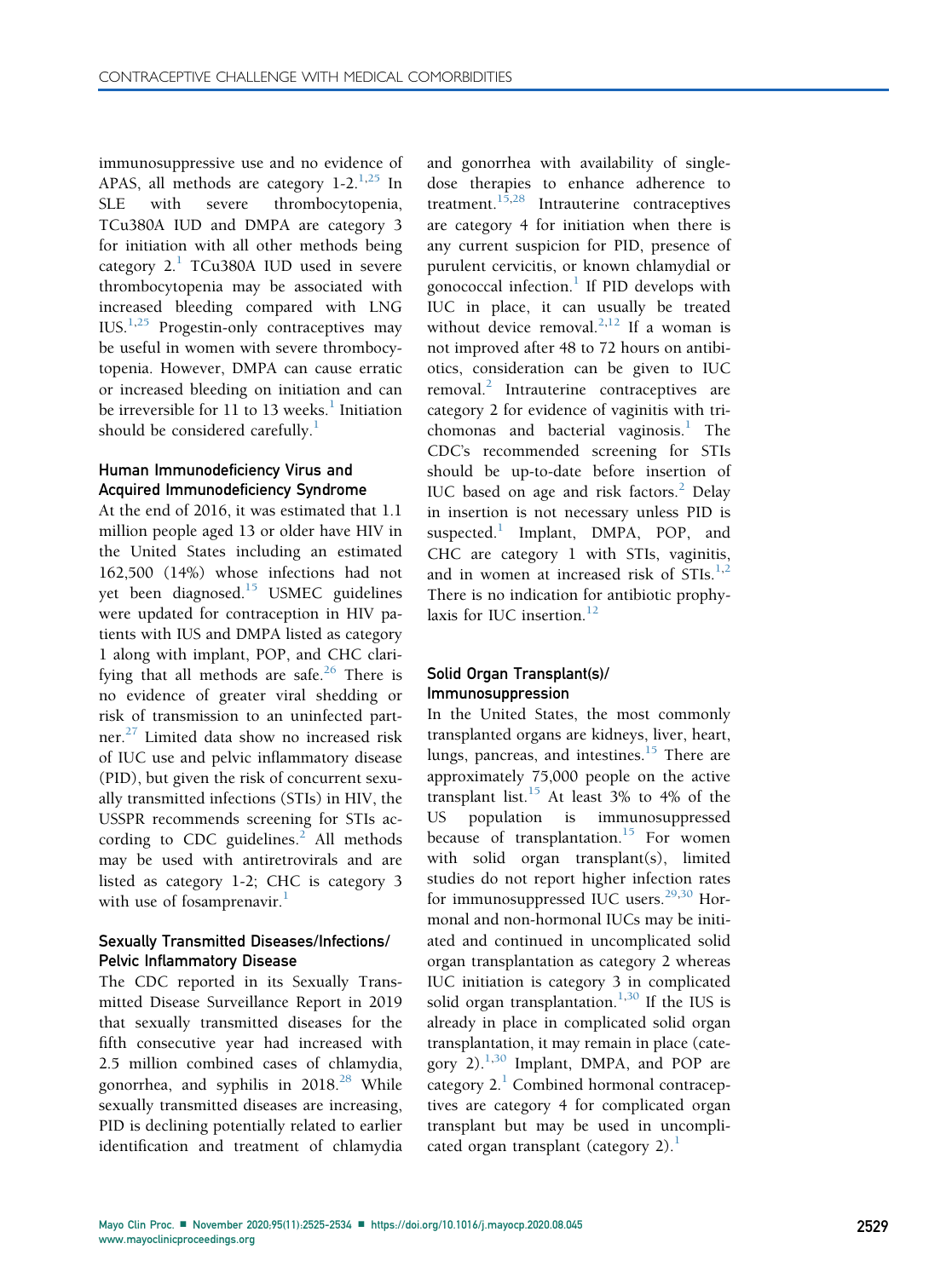immunosuppressive use and no evidence of APAS, all methods are category  $1-2$ .<sup>[1,](#page-7-0)[25](#page-8-23)</sup> In SLE with severe thrombocytopenia, TCu380A IUD and DMPA are category 3 for initiation with all other methods being category  $2.1$  $2.1$  TCu380A IUD used in severe thrombocytopenia may be associated with increased bleeding compared with LNG  $IUS.<sup>1,25</sup>$  $IUS.<sup>1,25</sup>$  $IUS.<sup>1,25</sup>$  $IUS.<sup>1,25</sup>$  Progestin-only contraceptives may be useful in women with severe thrombocytopenia. However, DMPA can cause erratic or increased bleeding on initiation and can be irreversible for [1](#page-7-0)1 to 13 weeks.<sup>1</sup> Initiation should be considered carefully. $\frac{1}{1}$  $\frac{1}{1}$  $\frac{1}{1}$ 

# Human Immunodeficiency Virus and Acquired Immunodeficiency Syndrome

At the end of 2016, it was estimated that 1.1 million people aged 13 or older have HIV in the United States including an estimated 162,500 (14%) whose infections had not yet been diagnosed.<sup>[15](#page-8-13)</sup> USMEC guidelines were updated for contraception in HIV patients with IUS and DMPA listed as category 1 along with implant, POP, and CHC clari-fying that all methods are safe.<sup>[26](#page-8-24)</sup> There is no evidence of greater viral shedding or risk of transmission to an uninfected part-ner.<sup>[27](#page-8-25)</sup> Limited data show no increased risk of IUC use and pelvic inflammatory disease (PID), but given the risk of concurrent sexually transmitted infections (STIs) in HIV, the USSPR recommends screening for STIs according to CDC guidelines. $^{2}$  $^{2}$  $^{2}$  All methods may be used with antiretrovirals and are listed as category 1-2; CHC is category 3 with use of fosamprenavir.<sup>[1](#page-7-0)</sup>

## Sexually Transmitted Diseases/Infections/ Pelvic Inflammatory Disease

The CDC reported in its Sexually Transmitted Disease Surveillance Report in 2019 that sexually transmitted diseases for the fifth consecutive year had increased with 2.5 million combined cases of chlamydia, gonorrhea, and syphilis in  $2018<sup>28</sup>$  $2018<sup>28</sup>$  $2018<sup>28</sup>$  While sexually transmitted diseases are increasing, PID is declining potentially related to earlier identification and treatment of chlamydia

and gonorrhea with availability of singledose therapies to enhance adherence to treatment. $1\overline{5}$ , 28 Intrauterine contraceptives are category 4 for initiation when there is any current suspicion for PID, presence of purulent cervicitis, or known chlamydial or gonococcal infection.<sup>[1](#page-7-0)</sup> If PID develops with IUC in place, it can usually be treated without device removal.<sup>[2,](#page-8-0)[12](#page-8-10)</sup> If a woman is not improved after 48 to 72 hours on antibiotics, consideration can be given to IUC removal. $\frac{2}{\pi}$  Intrauterine contraceptives are category 2 for evidence of vaginitis with tri-chomonas and bacterial vaginosis.<sup>[1](#page-7-0)</sup> The CDC's recommended screening for STIs should be up-to-date before insertion of IUC based on age and risk factors.<sup>[2](#page-8-0)</sup> Delay in insertion is not necessary unless PID is suspected. $<sup>1</sup>$  $<sup>1</sup>$  $<sup>1</sup>$  Implant, DMPA, POP, and</sup> CHC are category 1 with STIs, vaginitis, and in women at increased risk of  $STIs.<sup>1,2</sup>$  $STIs.<sup>1,2</sup>$  $STIs.<sup>1,2</sup>$  $STIs.<sup>1,2</sup>$ There is no indication for antibiotic prophylaxis for IUC insertion. $12$ 

## Solid Organ Transplant(s)/ Immunosuppression

In the United States, the most commonly transplanted organs are kidneys, liver, heart, lungs, pancreas, and intestines.<sup>15</sup> There are approximately 75,000 people on the active transplant list. $15$  At least 3% to 4% of the US population is immunosuppressed because of transplantation.<sup>[15](#page-8-13)</sup> For women with solid organ transplant(s), limited studies do not report higher infection rates for immunosuppressed IUC users. $29,30$  $29,30$  $29,30$  Hormonal and non-hormonal IUCs may be initiated and continued in uncomplicated solid organ transplantation as category 2 whereas IUC initiation is category 3 in complicated solid organ transplantation. $1,30$  $1,30$  If the IUS is already in place in complicated solid organ transplantation, it may remain in place (category  $2$ ).<sup>1,[30](#page-8-28)</sup> Implant, DMPA, and POP are category  $2<sup>1</sup>$  $2<sup>1</sup>$  $2<sup>1</sup>$  Combined hormonal contraceptives are category 4 for complicated organ transplant but may be used in uncomplicated organ transplant (category 2). $<sup>1</sup>$  $<sup>1</sup>$  $<sup>1</sup>$ </sup>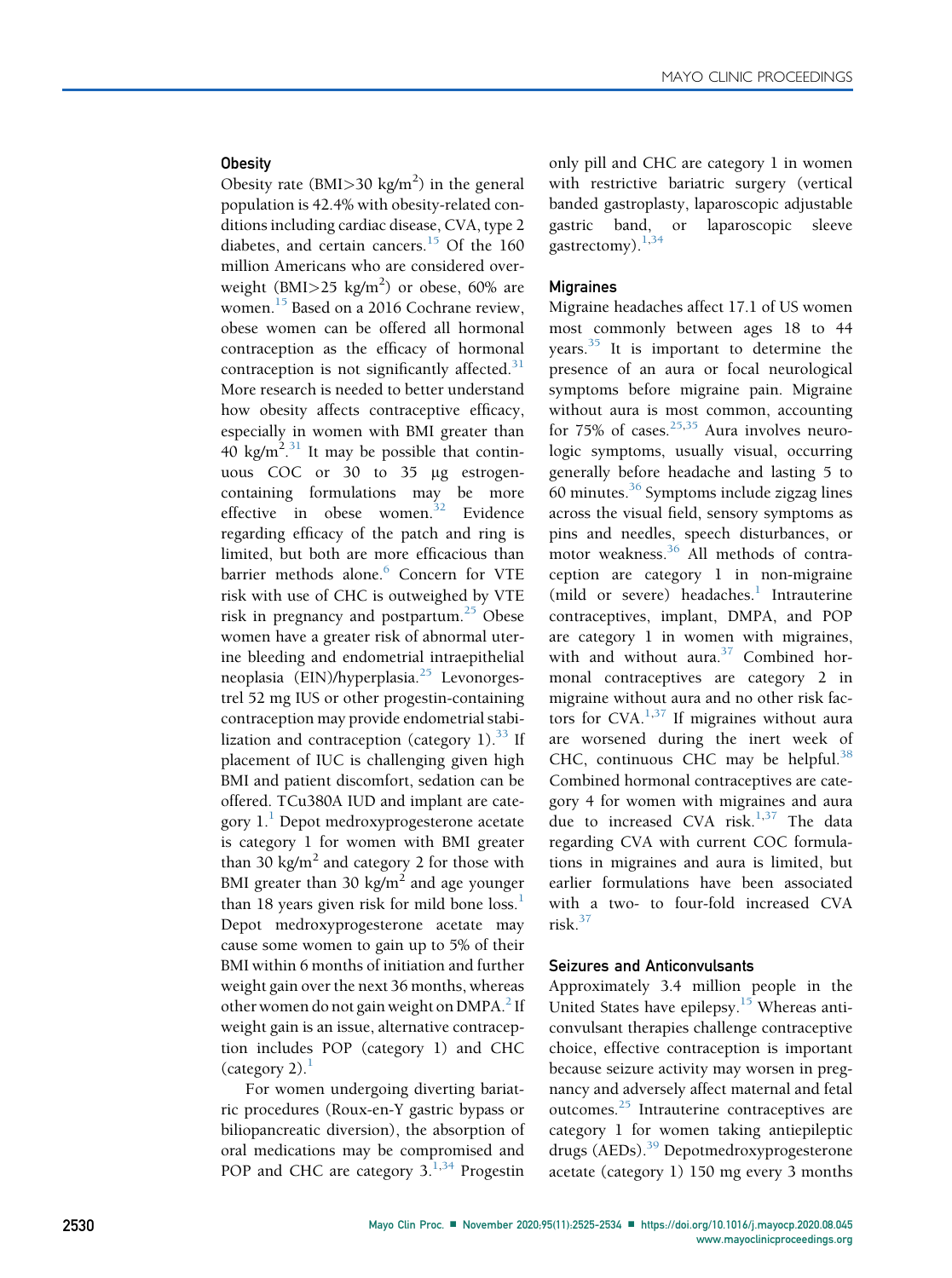## Obesity

Obesity rate (BMI $>$ 30 kg/m<sup>2</sup>) in the general population is 42.4% with obesity-related conditions including cardiac disease, CVA, type 2 diabetes, and certain cancers.<sup>[15](#page-8-13)</sup> Of the 160 million Americans who are considered overweight (BMI $>$ 25 kg/m<sup>2</sup>) or obese, 60% are women.<sup>[15](#page-8-13)</sup> Based on a 2016 Cochrane review, obese women can be offered all hormonal contraception as the efficacy of hormonal contraception is not significantly affected. $31$ More research is needed to better understand how obesity affects contraceptive efficacy, especially in women with BMI greater than 40 kg/m<sup>2,[31](#page-8-29)</sup> It may be possible that continuous COC or 30 to 35 µg estrogencontaining formulations may be more effective in obese women. $32$  Evidence regarding efficacy of the patch and ring is limited, but both are more efficacious than barrier methods alone.<sup>[6](#page-8-4)</sup> Concern for VTE risk with use of CHC is outweighed by VTE risk in pregnancy and postpartum.<sup>[25](#page-8-23)</sup> Obese women have a greater risk of abnormal uterine bleeding and endometrial intraepithelial neoplasia (EIN)/hyperplasia.<sup>[25](#page-8-23)</sup> Levonorgestrel 52 mg IUS or other progestin-containing contraception may provide endometrial stabilization and contraception (category  $1$ ).<sup>[33](#page-8-31)</sup> If placement of IUC is challenging given high BMI and patient discomfort, sedation can be offered. TCu380A IUD and implant are category  $1<sup>1</sup>$  $1<sup>1</sup>$  Depot medroxyprogesterone acetate is category 1 for women with BMI greater than 30 kg/m<sup>2</sup> and category 2 for those with BMI greater than 30 kg/m<sup>2</sup> and age younger than [1](#page-7-0)8 years given risk for mild bone loss.<sup>1</sup> Depot medroxyprogesterone acetate may cause some women to gain up to 5% of their BMI within 6 months of initiation and further weight gain over the next 36 months, whereas other women do not gain weight on DMPA.<sup>[2](#page-8-0)</sup> If weight gain is an issue, alternative contraception includes POP (category 1) and CHC  $(\text{category } 2)$ .

For women undergoing diverting bariatric procedures (Roux-en-Y gastric bypass or biliopancreatic diversion), the absorption of oral medications may be compromised and POP and CHC are category  $3.134$  $3.134$  Progestin only pill and CHC are category 1 in women with restrictive bariatric surgery (vertical banded gastroplasty, laparoscopic adjustable gastric band, or laparoscopic sleeve gastrectomy).<sup>[1](#page-7-0)[,34](#page-8-32)</sup>

### Migraines

Migraine headaches affect 17.1 of US women most commonly between ages 18 to 44 years. $35$  It is important to determine the presence of an aura or focal neurological symptoms before migraine pain. Migraine without aura is most common, accounting for 75% of cases.<sup>[25](#page-8-23),[35](#page-8-33)</sup> Aura involves neurologic symptoms, usually visual, occurring generally before headache and lasting 5 to 60 minutes. $36$  Symptoms include zigzag lines across the visual field, sensory symptoms as pins and needles, speech disturbances, or motor weakness.[36](#page-8-34) All methods of contraception are category 1 in non-migraine (mild or severe) headaches. $<sup>1</sup>$  $<sup>1</sup>$  $<sup>1</sup>$  Intrauterine</sup> contraceptives, implant, DMPA, and POP are category 1 in women with migraines, with and without aura. $37$  Combined hormonal contraceptives are category 2 in migraine without aura and no other risk factors for CVA. $^{1,37}$  $^{1,37}$  $^{1,37}$  $^{1,37}$  If migraines without aura are worsened during the inert week of CHC, continuous CHC may be helpful. $38$ Combined hormonal contraceptives are category 4 for women with migraines and aura due to increased CVA risk. $1,37$  $1,37$  $1,37$  The data regarding CVA with current COC formulations in migraines and aura is limited, but earlier formulations have been associated with a two- to four-fold increased CVA risk.[37](#page-8-35)

### Seizures and Anticonvulsants

Approximately 3.4 million people in the United States have epilepsy.<sup>[15](#page-8-13)</sup> Whereas anticonvulsant therapies challenge contraceptive choice, effective contraception is important because seizure activity may worsen in pregnancy and adversely affect maternal and fetal outcomes.[25](#page-8-23) Intrauterine contraceptives are category 1 for women taking antiepileptic drugs (AEDs).[39](#page-8-37) Depotmedroxyprogesterone acetate (category 1) 150 mg every 3 months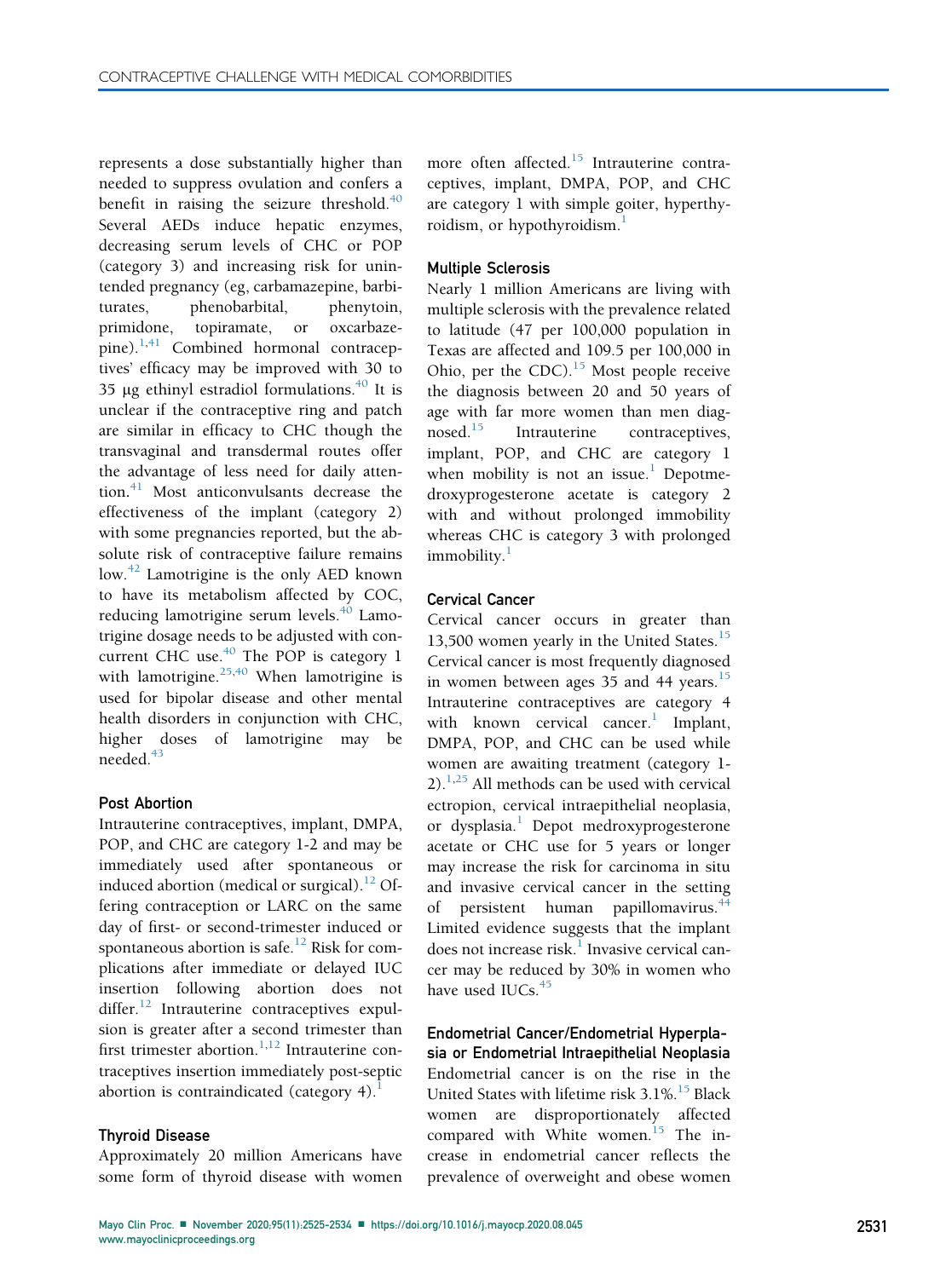represents a dose substantially higher than needed to suppress ovulation and confers a benefit in raising the seizure threshold. $40$ Several AEDs induce hepatic enzymes, decreasing serum levels of CHC or POP (category 3) and increasing risk for unintended pregnancy (eg, carbamazepine, barbiturates, phenobarbital, phenytoin, primidone, topiramate, or oxcarbazepine). $^{1,41}$  $^{1,41}$  $^{1,41}$  $^{1,41}$  Combined hormonal contraceptives' efficacy may be improved with 30 to 35 µg ethinyl estradiol formulations. $40$  It is unclear if the contraceptive ring and patch are similar in efficacy to CHC though the transvaginal and transdermal routes offer the advantage of less need for daily attention. [41](#page-9-0) Most anticonvulsants decrease the effectiveness of the implant (category 2) with some pregnancies reported, but the absolute risk of contraceptive failure remains low.<sup>[42](#page-9-1)</sup> Lamotrigine is the only AED known to have its metabolism affected by COC, reducing lamotrigine serum levels.<sup>[40](#page-8-38)</sup> Lamotrigine dosage needs to be adjusted with concurrent CHC use. $40$  The POP is category 1 with lamotrigine.<sup>[25](#page-8-23)[,40](#page-8-38)</sup> When lamotrigine is used for bipolar disease and other mental health disorders in conjunction with CHC, higher doses of lamotrigine may be needed.<sup>[43](#page-9-2)</sup>

# Post Abortion

Intrauterine contraceptives, implant, DMPA, POP, and CHC are category 1-2 and may be immediately used after spontaneous or induced abortion (medical or surgical).<sup>[12](#page-8-10)</sup> Offering contraception or LARC on the same day of first- or second-trimester induced or spontaneous abortion is safe.<sup>[12](#page-8-10)</sup> Risk for complications after immediate or delayed IUC insertion following abortion does not differ. $12$  Intrauterine contraceptives expulsion is greater after a second trimester than first trimester abortion.<sup>[1](#page-7-0)[,12](#page-8-10)</sup> Intrauterine contraceptives insertion immediately post-septic abortion is contraindicated (category 4) $<sup>1</sup>$  $<sup>1</sup>$  $<sup>1</sup>$ </sup>

### Thyroid Disease

Approximately 20 million Americans have some form of thyroid disease with women

more often affected.<sup>[15](#page-8-13)</sup> Intrauterine contraceptives, implant, DMPA, POP, and CHC are category 1 with simple goiter, hyperthyroidism, or hypothyroidism.

### Multiple Sclerosis

Nearly 1 million Americans are living with multiple sclerosis with the prevalence related to latitude (47 per 100,000 population in Texas are affected and 109.5 per 100,000 in Ohio, per the CDC). $15$  Most people receive the diagnosis between 20 and 50 years of age with far more women than men diag-nosed.<sup>[15](#page-8-13)</sup> Intrauterine contraceptives, implant, POP, and CHC are category 1 when mobility is not an issue.<sup>[1](#page-7-0)</sup> Depotmedroxyprogesterone acetate is category 2 with and without prolonged immobility whereas CHC is category 3 with prolonged immobility.<sup>[1](#page-7-0)</sup>

## Cervical Cancer

Cervical cancer occurs in greater than 13,500 women yearly in the United States.<sup>[15](#page-8-13)</sup> Cervical cancer is most frequently diagnosed in women between ages  $35$  and  $44$  years.<sup>[15](#page-8-13)</sup> Intrauterine contraceptives are category 4 with known cervical cancer.<sup>[1](#page-7-0)</sup> Implant, DMPA, POP, and CHC can be used while women are awaiting treatment (category 1-  $2$ ).<sup>[1,](#page-7-0)[25](#page-8-23)</sup> All methods can be used with cervical ectropion, cervical intraepithelial neoplasia, or dysplasia.<sup>[1](#page-7-0)</sup> Depot medroxyprogesterone acetate or CHC use for 5 years or longer may increase the risk for carcinoma in situ and invasive cervical cancer in the setting of persistent human papillomavirus.<sup>[44](#page-9-3)</sup> Limited evidence suggests that the implant does not increase risk.<sup>[1](#page-7-0)</sup> Invasive cervical cancer may be reduced by 30% in women who have used IUCs.<sup>[45](#page-9-4)</sup>

Endometrial Cancer/Endometrial Hyperplasia or Endometrial Intraepithelial Neoplasia Endometrial cancer is on the rise in the United States with lifetime risk 3.1%.<sup>[15](#page-8-13)</sup> Black women are disproportionately affected compared with White women.<sup>[15](#page-8-13)</sup> The increase in endometrial cancer reflects the prevalence of overweight and obese women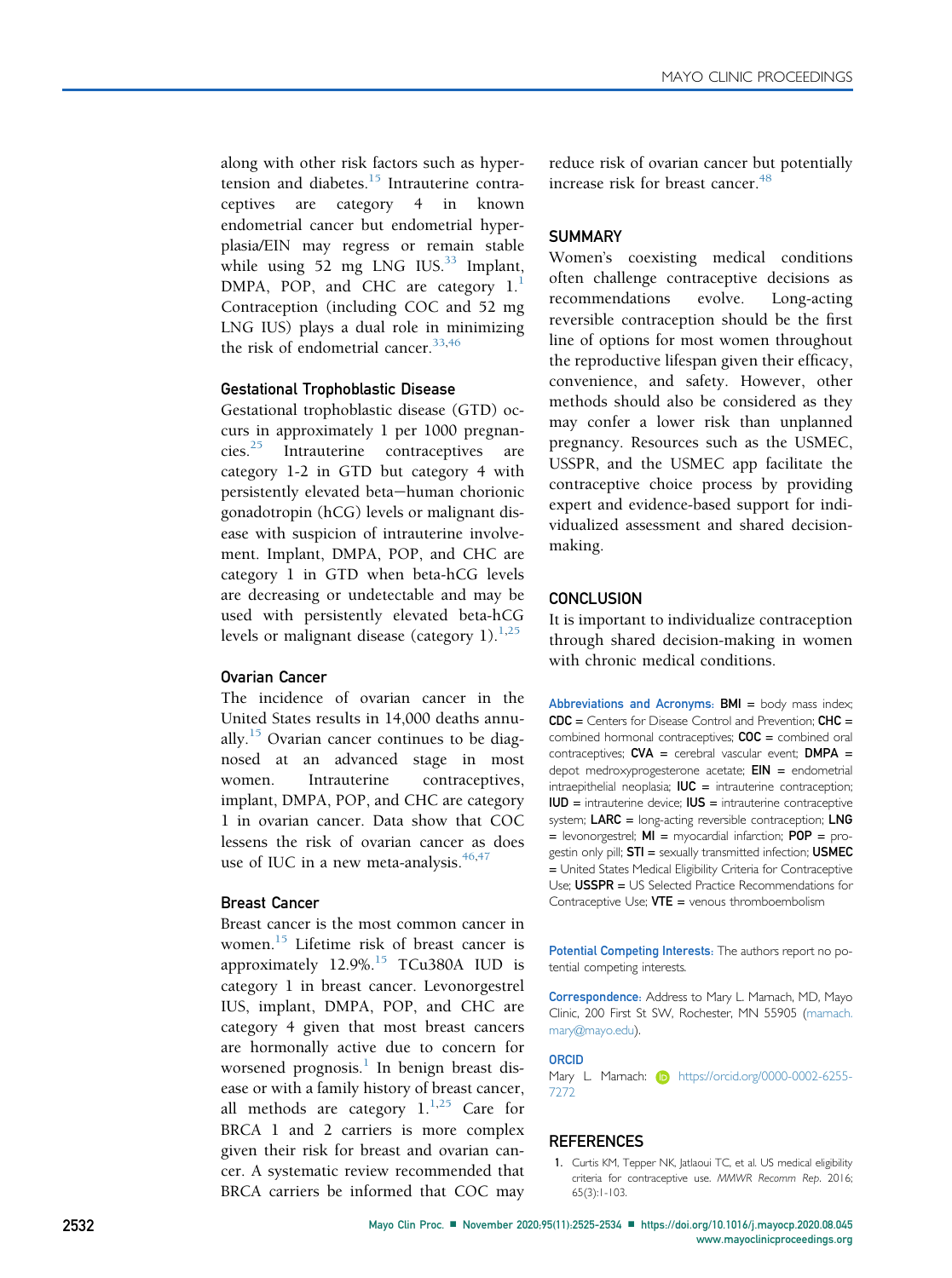along with other risk factors such as hypertension and diabetes. $15$  Intrauterine contraceptives are category 4 in known endometrial cancer but endometrial hyperplasia/EIN may regress or remain stable while using 52 mg LNG IUS. $33$  Implant, DMPA, POP, and CHC are category  $1<sup>1</sup>$  $1<sup>1</sup>$ Contraception (including COC and 52 mg LNG IUS) plays a dual role in minimizing the risk of endometrial cancer.  $33,46$  $33,46$ 

## Gestational Trophoblastic Disease

Gestational trophoblastic disease (GTD) occurs in approximately 1 per 1000 pregnancies.[25](#page-8-23) Intrauterine contraceptives are category 1-2 in GTD but category 4 with persistently elevated beta-human chorionic gonadotropin (hCG) levels or malignant disease with suspicion of intrauterine involvement. Implant, DMPA, POP, and CHC are category 1 in GTD when beta-hCG levels are decreasing or undetectable and may be used with persistently elevated beta-hCG levels or malignant disease (category [1](#page-7-0)). $^{1,25}$  $^{1,25}$  $^{1,25}$ 

#### Ovarian Cancer

The incidence of ovarian cancer in the United States results in 14,000 deaths annu-ally.<sup>[15](#page-8-13)</sup> Ovarian cancer continues to be diagnosed at an advanced stage in most women. Intrauterine contraceptives, implant, DMPA, POP, and CHC are category 1 in ovarian cancer. Data show that COC lessens the risk of ovarian cancer as does use of IUC in a new meta-analysis. $46,47$  $46,47$ 

### Breast Cancer

Breast cancer is the most common cancer in women.<sup>[15](#page-8-13)</sup> Lifetime risk of breast cancer is approximately 12.9%.<sup>[15](#page-8-13)</sup> TCu380A IUD is category 1 in breast cancer. Levonorgestrel IUS, implant, DMPA, POP, and CHC are category 4 given that most breast cancers are hormonally active due to concern for worsened prognosis. $\frac{1}{1}$  $\frac{1}{1}$  $\frac{1}{1}$  In benign breast disease or with a family history of breast cancer, all methods are category  $1^{1,25}$  $1^{1,25}$  $1^{1,25}$  $1^{1,25}$  Care for BRCA 1 and 2 carriers is more complex given their risk for breast and ovarian cancer. A systematic review recommended that BRCA carriers be informed that COC may

reduce risk of ovarian cancer but potentially increase risk for breast cancer.<sup>[48](#page-9-7)</sup>

## **SUMMARY**

Women's coexisting medical conditions often challenge contraceptive decisions as recommendations evolve. Long-acting reversible contraception should be the first line of options for most women throughout the reproductive lifespan given their efficacy, convenience, and safety. However, other methods should also be considered as they may confer a lower risk than unplanned pregnancy. Resources such as the USMEC, USSPR, and the USMEC app facilitate the contraceptive choice process by providing expert and evidence-based support for individualized assessment and shared decisionmaking.

## **CONCLUSION**

It is important to individualize contraception through shared decision-making in women with chronic medical conditions.

Abbreviations and Acronyms:  $BMI =$  body mass index;  $CDC =$  Centers for Disease Control and Prevention;  $CHC =$ combined hormonal contraceptives;  $COC =$  combined oral contraceptives;  $CVA =$  cerebral vascular event;  $DMPA =$ depot medroxyprogesterone acetate;  $EIN =$  endometrial intraepithelial neoplasia;  $IUC =$  intrauterine contraception; IUD = intrauterine device; IUS = intrauterine contraceptive system;  $LARC = long-acting$  reversible contraception;  $LNG$  $=$  levonorgestrel;  $MI =$  myocardial infarction;  $POP =$  progestin only pill;  $STI =$  sexually transmitted infection;  $USMEC$ = United States Medical Eligibility Criteria for Contraceptive Use; USSPR = US Selected Practice Recommendations for Contraceptive Use;  $VTE =$  venous thromboembolism

Potential Competing Interests: The authors report no potential competing interests.

Correspondence: Address to Mary L. Marnach, MD, Mayo Clinic, 200 First St SW, Rochester, MN 55905 [\(marnach.](mailto:marnach.mary@mayo.edu) [mary@mayo.edu\)](mailto:marnach.mary@mayo.edu).

#### ORCID

Mary L. Marnach: **[https://orcid.org/0000-0002-6255-](https://orcid.org/0000-0002-6255-7272)** [7272](https://orcid.org/0000-0002-6255-7272)

### <span id="page-7-0"></span>**REFERENCES**

1. Curtis KM, Tepper NK, Jatlaoui TC, et al. US medical eligibility criteria for contraceptive use. MMWR Recomm Rep. 2016; 65(3):1-103.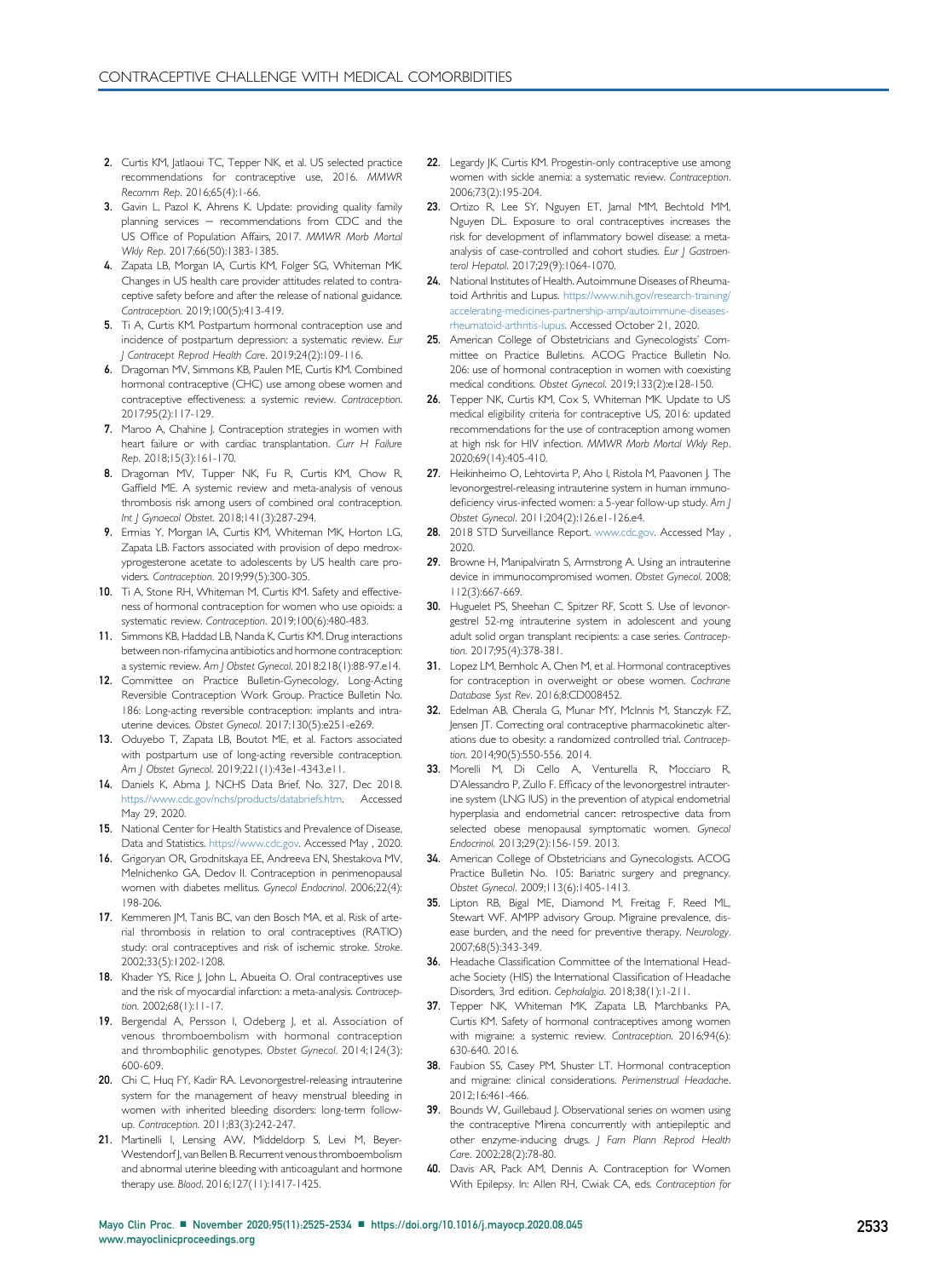- <span id="page-8-0"></span>2. Curtis KM, Jatlaoui TC, Tepper NK, et al. US selected practice recommendations for contraceptive use, 2016. MMWR Recomm Rep. 2016;65(4):1-66.
- <span id="page-8-1"></span>3. Gavin L, Pazol K, Ahrens K. Update: providing quality family planning services  $-$  recommendations from CDC and the US Office of Population Affairs, 2017. MMWR Morb Mortal Wkly Rep. 2017;66(50):1383-1385.
- <span id="page-8-2"></span>4. Zapata LB, Morgan IA, Curtis KM, Folger SG, Whiteman MK. Changes in US health care provider attitudes related to contraceptive safety before and after the release of national guidance. Contraception. 2019;100(5):413-419.
- <span id="page-8-3"></span>5. Ti A, Curtis KM. Postpartum hormonal contraception use and incidence of postpartum depression: a systematic review. Eur J Contracept Reprod Health Care. 2019;24(2):109-116.
- <span id="page-8-4"></span>6. Dragoman MV, Simmons KB, Paulen ME, Curtis KM. Combined hormonal contraceptive (CHC) use among obese women and contraceptive effectiveness: a systemic review. Contraception. 2017;95(2):117-129.
- <span id="page-8-5"></span>7. Maroo A, Chahine J. Contraception strategies in women with heart failure or with cardiac transplantation. Curr H Failure Rep. 2018;15(3):161-170.
- <span id="page-8-6"></span>8. Dragoman MV, Tupper NK, Fu R, Curtis KM, Chow R, Gaffield ME. A systemic review and meta-analysis of venous thrombosis risk among users of combined oral contraception. Int J Gynaecol Obstet. 2018;141(3):287-294.
- <span id="page-8-7"></span>9. Ermias Y, Morgan IA, Curtis KM, Whiteman MK, Horton LG, Zapata LB. Factors associated with provision of depo medroxyprogesterone acetate to adolescents by US health care providers. Contraception. 2019;99(5):300-305.
- <span id="page-8-8"></span>10. Ti A, Stone RH, Whiteman M, Curtis KM. Safety and effectiveness of hormonal contraception for women who use opioids: a systematic review. Contraception. 2019;100(6):480-483.
- <span id="page-8-9"></span>11. Simmons KB, Haddad LB, Nanda K, Curtis KM. Drug interactions between non-rifamycina antibiotics and hormone contraception: a systemic review. Am J Obstet Gynecol. 2018;218(1):88-97.e14.
- <span id="page-8-10"></span>12. Committee on Practice Bulletin-Gynecology, Long-Acting Reversible Contraception Work Group. Practice Bulletin No. 186: Long-acting reversible contraception: implants and intrauterine devices. Obstet Gynecol. 2017;130(5):e251-e269.
- <span id="page-8-11"></span>13. Oduyebo T, Zapata LB, Boutot ME, et al. Factors associated with postpartum use of long-acting reversible contraception. Am J Obstet Gynecol. 2019;221(1):43e1-4343.e11.
- <span id="page-8-12"></span>14. Daniels K, Abma J. NCHS Data Brief, No. 327, Dec 2018. [https.//www.cdc.gov/nchs/products/databriefs.htm](http://https.//www.cdc.gov/nchs/products/databriefs.htm). Accessed May 29, 2020.
- <span id="page-8-13"></span>15. National Center for Health Statistics and Prevalence of Disease, Data and Statistics. [https://www.cdc.gov.](http://www.cdc.gov) Accessed May , 2020.
- <span id="page-8-14"></span>16. Grigoryan OR, Grodnitskaya EE, Andreeva EN, Shestakova MV, Melnichenko GA, Dedov II. Contraception in perimenopausal women with diabetes mellitus. Gynecol Endocrinol. 2006;22(4): 198-206.
- <span id="page-8-15"></span>17. Kemmeren JM, Tanis BC, van den Bosch MA, et al. Risk of arterial thrombosis in relation to oral contraceptives (RATIO) study: oral contraceptives and risk of ischemic stroke. Stroke. 2002;33(5):1202-1208.
- <span id="page-8-16"></span>18. Khader YS, Rice J, John L, Abueita O. Oral contraceptives use and the risk of myocardial infarction: a meta-analysis. Contraception. 2002;68(1):11-17.
- <span id="page-8-17"></span>19. Bergendal A, Persson I, Odeberg J, et al. Association of venous thromboembolism with hormonal contraception and thrombophilic genotypes. Obstet Gynecol. 2014;124(3): 600-609.
- <span id="page-8-18"></span>20. Chi C, Huq FY, Kadir RA. Levonorgestrel-releasing intrauterine system for the management of heavy menstrual bleeding in women with inherited bleeding disorders: long-term followup. Contraception. 2011;83(3):242-247.
- <span id="page-8-19"></span>21. Martinelli I, Lensing AW, Middeldorp S, Levi M, Beyer-Westendorf J, van Bellen B. Recurrent venous thromboembolism and abnormal uterine bleeding with anticoagulant and hormone therapy use. Blood. 2016;127(11):1417-1425.
- <span id="page-8-20"></span>22. Legardy JK, Curtis KM. Progestin-only contraceptive use among women with sickle anemia: a systematic review. Contraception. 2006;73(2):195-204.
- <span id="page-8-21"></span>23. Ortizo R, Lee SY, Nguyen ET, Jamal MM, Bechtold MM, Nguyen DL. Exposure to oral contraceptives increases the risk for development of inflammatory bowel disease: a metaanalysis of case-controlled and cohort studies. Eur J Gastroenterol Hepatol. 2017;29(9):1064-1070.
- <span id="page-8-22"></span>24. National Institutes of Health. Autoimmune Diseases of Rheumatoid Arthritis and Lupus. [https://www.nih.gov/research-training/](https://www.nih.gov/research-training/accelerating-medicines-partnership-amp/autoimmune-diseases-rheumatoid-arthritis-lupus) [accelerating-medicines-partnership-amp/autoimmune-diseases](https://www.nih.gov/research-training/accelerating-medicines-partnership-amp/autoimmune-diseases-rheumatoid-arthritis-lupus)[rheumatoid-arthritis-lupus.](https://www.nih.gov/research-training/accelerating-medicines-partnership-amp/autoimmune-diseases-rheumatoid-arthritis-lupus) Accessed October 21, 2020.
- <span id="page-8-23"></span>25. American College of Obstetricians and Gynecologists' Committee on Practice Bulletins. ACOG Practice Bulletin No. 206: use of hormonal contraception in women with coexisting medical conditions. Obstet Gynecol. 2019;133(2):e128-150.
- <span id="page-8-24"></span>26. Tepper NK, Curtis KM, Cox S, Whiteman MK. Update to US medical eligibility criteria for contraceptive US, 2016: updated recommendations for the use of contraception among women at high risk for HIV infection. MMWR Morb Mortal Wkly Rep. 2020;69(14):405-410.
- <span id="page-8-25"></span>27. Heikinheimo O, Lehtovirta P, Aho I, Ristola M, Paavonen J. The levonorgestrel-releasing intrauterine system in human immunodeficiency virus-infected women: a 5-year follow-up study. Am J Obstet Gynecol. 2011;204(2):126.e1-126.e4.
- <span id="page-8-26"></span>28. 2018 STD Surveillance Report. [www.cdc.gov](http://www.cdc.gov). Accessed May, 2020.
- <span id="page-8-27"></span>29. Browne H, Manipalviratn S, Armstrong A. Using an intrauterine device in immunocompromised women. Obstet Gynecol. 2008; 112(3):667-669.
- <span id="page-8-28"></span>30. Huguelet PS, Sheehan C, Spitzer RF, Scott S. Use of levonorgestrel 52-mg intrauterine system in adolescent and young adult solid organ transplant recipients: a case series. Contraception. 2017;95(4):378-381.
- <span id="page-8-29"></span>31. Lopez LM, Bernholc A, Chen M, et al. Hormonal contraceptives for contraception in overweight or obese women. Cochrane Database Syst Rev. 2016;8:CD008452.
- <span id="page-8-30"></span>32. Edelman AB, Cherala G, Munar MY, McInnis M, Stanczyk FZ, Jensen JT. Correcting oral contraceptive pharmacokinetic alterations due to obesity: a randomized controlled trial. Contraception. 2014;90(5):550-556. 2014.
- <span id="page-8-31"></span>33. Morelli M, Di Cello A, Venturella R, Mocciaro R, D'Alessandro P, Zullo F. Efficacy of the levonorgestrel intrauterine system (LNG IUS) in the prevention of atypical endometrial hyperplasia and endometrial cancer: retrospective data from selected obese menopausal symptomatic women. Gynecol Endocrinol. 2013;29(2):156-159. 2013.
- <span id="page-8-32"></span>34. American College of Obstetricians and Gynecologists. ACOG Practice Bulletin No. 105: Bariatric surgery and pregnancy. Obstet Gynecol. 2009;113(6):1405-1413.
- <span id="page-8-33"></span>Lipton RB, Bigal ME, Diamond M, Freitag F, Reed ML, Stewart WF. AMPP advisory Group. Migraine prevalence, disease burden, and the need for preventive therapy. Neurology. 2007;68(5):343-349.
- <span id="page-8-34"></span>36. Headache Classification Committee of the International Headache Society (HIS) the International Classification of Headache Disorders, 3rd edition. Cephalalgia. 2018;38(1):1-211.
- <span id="page-8-35"></span>37. Tepper NK, Whiteman MK, Zapata LB, Marchbanks PA, Curtis KM. Safety of hormonal contraceptives among women with migraine: a systemic review. Contraception. 2016;94(6): 630-640. 2016.
- <span id="page-8-36"></span>38. Faubion SS, Casey PM, Shuster LT. Hormonal contraception and migraine: clinical considerations. Perimenstrual Headache. 2012;16:461-466.
- <span id="page-8-37"></span>39. Bounds W, Guillebaud J. Observational series on women using the contraceptive Mirena concurrently with antiepileptic and other enzyme-inducing drugs. J Fam Plann Reprod Health Care. 2002;28(2):78-80.
- <span id="page-8-38"></span>40. Davis AR, Pack AM, Dennis A. Contraception for Women With Epilepsy. In: Allen RH, Cwiak CA, eds. Contraception for